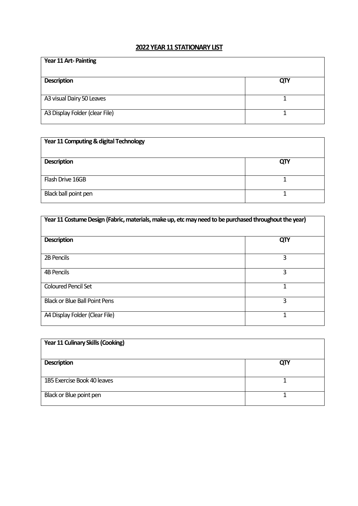## **2022 YEAR 11 STATIONARY LIST**

| Year 11 Art-Painting           |     |
|--------------------------------|-----|
| <b>Description</b>             | QTY |
| A3 visual Dairy 50 Leaves      |     |
| A3 Display Folder (clear File) |     |

| Year 11 Computing & digital Technology |     |
|----------------------------------------|-----|
| <b>Description</b>                     | QTY |
| Flash Drive 16GB                       |     |
| Black ball point pen                   |     |

| Year 11 Costume Design (Fabric, materials, make up, etc may need to be purchased throughout the year) |     |
|-------------------------------------------------------------------------------------------------------|-----|
| <b>Description</b>                                                                                    | QTY |
| 2B Pencils                                                                                            | 3   |
| 4B Pencils                                                                                            | 3   |
| <b>Coloured Pencil Set</b>                                                                            | 1   |
| <b>Black or Blue Ball Point Pens</b>                                                                  | 3   |
| A4 Display Folder (Clear File)                                                                        |     |

| Year 11 Culinary Skills (Cooking) |     |
|-----------------------------------|-----|
| <b>Description</b>                | QTY |
| 1B5 Exercise Book 40 leaves       |     |
| Black or Blue point pen           |     |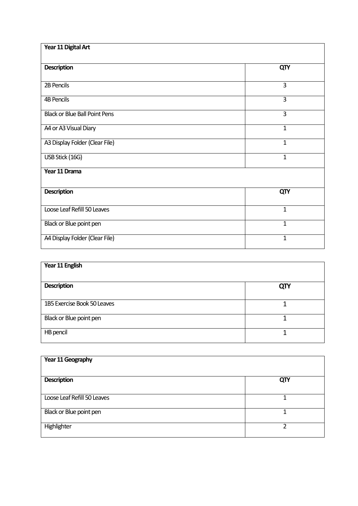| Year 11 Digital Art                  |              |
|--------------------------------------|--------------|
| <b>Description</b>                   | QTY          |
| 2B Pencils                           | 3            |
| <b>4B Pencils</b>                    | 3            |
| <b>Black or Blue Ball Point Pens</b> | 3            |
| A4 or A3 Visual Diary                | $\mathbf{1}$ |
| A3 Display Folder (Clear File)       | $\mathbf{1}$ |
| USB Stick (16G)                      | $\mathbf{1}$ |
| Year 11 Drama                        |              |
| <b>Description</b>                   | QTY          |
| Loose Leaf Refill 50 Leaves          | $\mathbf{1}$ |
| Black or Blue point pen              | $\mathbf{1}$ |
| A4 Display Folder (Clear File)       | 1            |

| Year 11 English             |     |
|-----------------------------|-----|
| <b>Description</b>          | QTY |
| 1B5 Exercise Book 50 Leaves |     |
| Black or Blue point pen     |     |
| HB pencil                   |     |

| Year 11 Geography           |     |
|-----------------------------|-----|
| <b>Description</b>          | QTY |
| Loose Leaf Refill 50 Leaves |     |
| Black or Blue point pen     |     |
| Highlighter                 | າ   |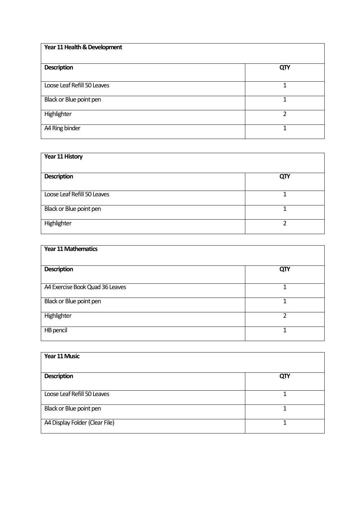| Year 11 Health & Development |               |
|------------------------------|---------------|
| <b>Description</b>           | QTY           |
| Loose Leaf Refill 50 Leaves  |               |
| Black or Blue point pen      |               |
| Highlighter                  | $\mathfrak z$ |
| A4 Ring binder               |               |

| Year 11 History             |     |
|-----------------------------|-----|
| <b>Description</b>          | QTY |
| Loose Leaf Refill 50 Leaves |     |
| Black or Blue point pen     |     |
| Highlighter                 | ำ   |

| <b>Year 11 Mathematics</b>      |     |
|---------------------------------|-----|
| <b>Description</b>              | QTY |
| A4 Exercise Book Quad 36 Leaves | 1   |
| Black or Blue point pen         | 1   |
| Highlighter                     | 2   |
| HB pencil                       | 4   |

| Year 11 Music                  |     |
|--------------------------------|-----|
| <b>Description</b>             | QTY |
| Loose Leaf Refill 50 Leaves    |     |
| Black or Blue point pen        |     |
| A4 Display Folder (Clear File) |     |